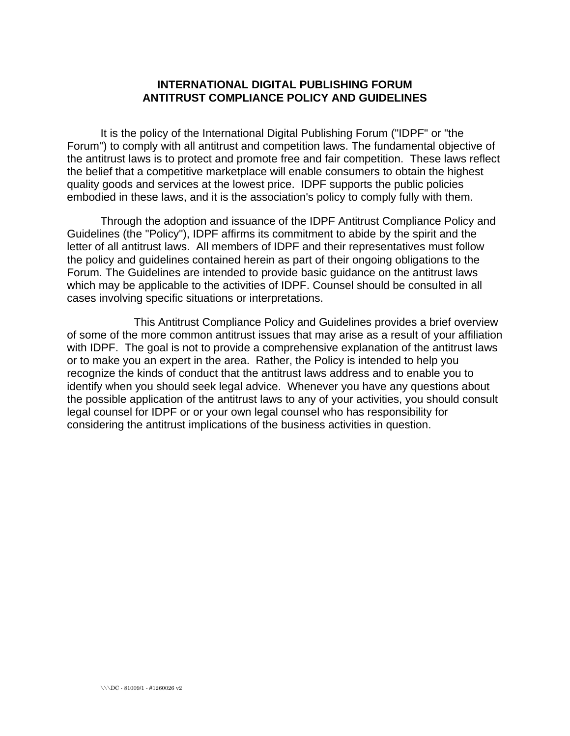## **INTERNATIONAL DIGITAL PUBLISHING FORUM ANTITRUST COMPLIANCE POLICY AND GUIDELINES**

It is the policy of the International Digital Publishing Forum ("IDPF" or "the Forum") to comply with all antitrust and competition laws. The fundamental objective of the antitrust laws is to protect and promote free and fair competition. These laws reflect the belief that a competitive marketplace will enable consumers to obtain the highest quality goods and services at the lowest price. IDPF supports the public policies embodied in these laws, and it is the association's policy to comply fully with them.

Through the adoption and issuance of the IDPF Antitrust Compliance Policy and Guidelines (the "Policy"), IDPF affirms its commitment to abide by the spirit and the letter of all antitrust laws. All members of IDPF and their representatives must follow the policy and guidelines contained herein as part of their ongoing obligations to the Forum. The Guidelines are intended to provide basic guidance on the antitrust laws which may be applicable to the activities of IDPF. Counsel should be consulted in all cases involving specific situations or interpretations.

 This Antitrust Compliance Policy and Guidelines provides a brief overview of some of the more common antitrust issues that may arise as a result of your affiliation with IDPF. The goal is not to provide a comprehensive explanation of the antitrust laws or to make you an expert in the area. Rather, the Policy is intended to help you recognize the kinds of conduct that the antitrust laws address and to enable you to identify when you should seek legal advice. Whenever you have any questions about the possible application of the antitrust laws to any of your activities, you should consult legal counsel for IDPF or or your own legal counsel who has responsibility for considering the antitrust implications of the business activities in question.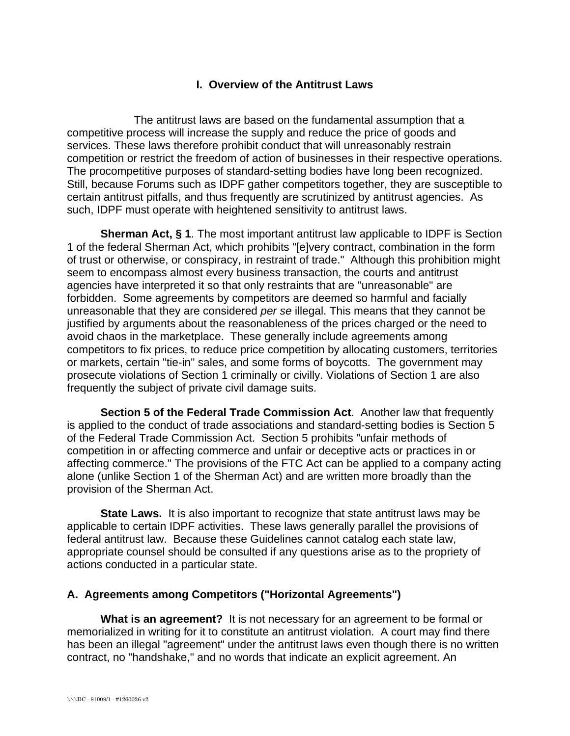# **I. Overview of the Antitrust Laws**

 The antitrust laws are based on the fundamental assumption that a competitive process will increase the supply and reduce the price of goods and services. These laws therefore prohibit conduct that will unreasonably restrain competition or restrict the freedom of action of businesses in their respective operations. The procompetitive purposes of standard-setting bodies have long been recognized. Still, because Forums such as IDPF gather competitors together, they are susceptible to certain antitrust pitfalls, and thus frequently are scrutinized by antitrust agencies. As such, IDPF must operate with heightened sensitivity to antitrust laws.

**Sherman Act, § 1**. The most important antitrust law applicable to IDPF is Section 1 of the federal Sherman Act, which prohibits "[e]very contract, combination in the form of trust or otherwise, or conspiracy, in restraint of trade." Although this prohibition might seem to encompass almost every business transaction, the courts and antitrust agencies have interpreted it so that only restraints that are "unreasonable" are forbidden. Some agreements by competitors are deemed so harmful and facially unreasonable that they are considered *per se* illegal. This means that they cannot be justified by arguments about the reasonableness of the prices charged or the need to avoid chaos in the marketplace. These generally include agreements among competitors to fix prices, to reduce price competition by allocating customers, territories or markets, certain "tie-in" sales, and some forms of boycotts. The government may prosecute violations of Section 1 criminally or civilly. Violations of Section 1 are also frequently the subject of private civil damage suits.

**Section 5 of the Federal Trade Commission Act**. Another law that frequently is applied to the conduct of trade associations and standard-setting bodies is Section 5 of the Federal Trade Commission Act. Section 5 prohibits "unfair methods of competition in or affecting commerce and unfair or deceptive acts or practices in or affecting commerce." The provisions of the FTC Act can be applied to a company acting alone (unlike Section 1 of the Sherman Act) and are written more broadly than the provision of the Sherman Act.

**State Laws.** It is also important to recognize that state antitrust laws may be applicable to certain IDPF activities. These laws generally parallel the provisions of federal antitrust law. Because these Guidelines cannot catalog each state law, appropriate counsel should be consulted if any questions arise as to the propriety of actions conducted in a particular state.

## **A. Agreements among Competitors ("Horizontal Agreements")**

**What is an agreement?** It is not necessary for an agreement to be formal or memorialized in writing for it to constitute an antitrust violation. A court may find there has been an illegal "agreement" under the antitrust laws even though there is no written contract, no "handshake," and no words that indicate an explicit agreement. An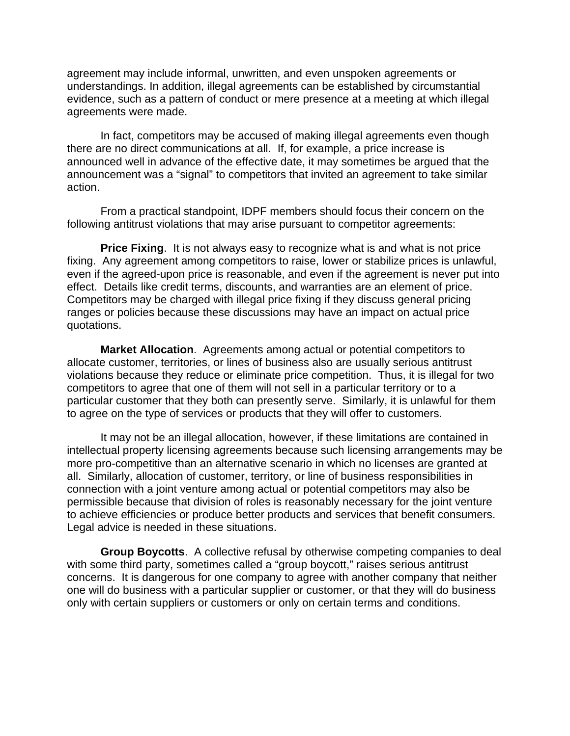agreement may include informal, unwritten, and even unspoken agreements or understandings. In addition, illegal agreements can be established by circumstantial evidence, such as a pattern of conduct or mere presence at a meeting at which illegal agreements were made.

In fact, competitors may be accused of making illegal agreements even though there are no direct communications at all. If, for example, a price increase is announced well in advance of the effective date, it may sometimes be argued that the announcement was a "signal" to competitors that invited an agreement to take similar action.

From a practical standpoint, IDPF members should focus their concern on the following antitrust violations that may arise pursuant to competitor agreements:

**Price Fixing**. It is not always easy to recognize what is and what is not price fixing. Any agreement among competitors to raise, lower or stabilize prices is unlawful, even if the agreed-upon price is reasonable, and even if the agreement is never put into effect. Details like credit terms, discounts, and warranties are an element of price. Competitors may be charged with illegal price fixing if they discuss general pricing ranges or policies because these discussions may have an impact on actual price quotations.

**Market Allocation**. Agreements among actual or potential competitors to allocate customer, territories, or lines of business also are usually serious antitrust violations because they reduce or eliminate price competition. Thus, it is illegal for two competitors to agree that one of them will not sell in a particular territory or to a particular customer that they both can presently serve. Similarly, it is unlawful for them to agree on the type of services or products that they will offer to customers.

It may not be an illegal allocation, however, if these limitations are contained in intellectual property licensing agreements because such licensing arrangements may be more pro-competitive than an alternative scenario in which no licenses are granted at all. Similarly, allocation of customer, territory, or line of business responsibilities in connection with a joint venture among actual or potential competitors may also be permissible because that division of roles is reasonably necessary for the joint venture to achieve efficiencies or produce better products and services that benefit consumers. Legal advice is needed in these situations.

 **Group Boycotts**. A collective refusal by otherwise competing companies to deal with some third party, sometimes called a "group boycott," raises serious antitrust concerns. It is dangerous for one company to agree with another company that neither one will do business with a particular supplier or customer, or that they will do business only with certain suppliers or customers or only on certain terms and conditions.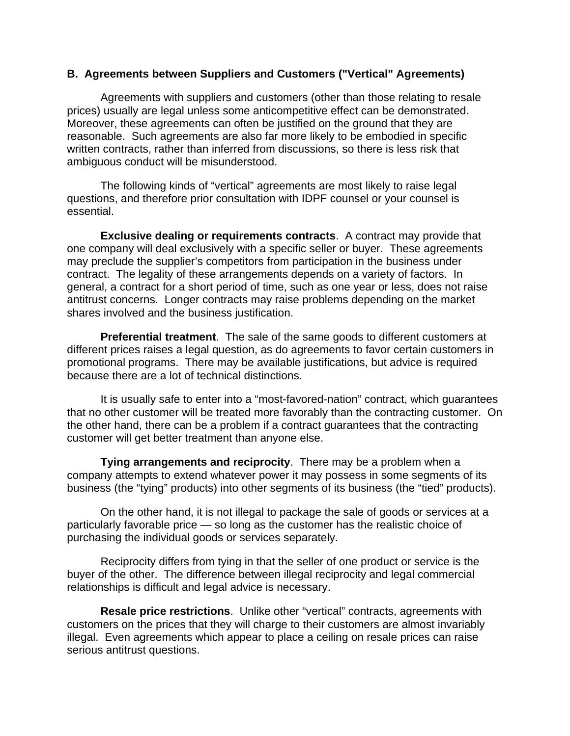### **B. Agreements between Suppliers and Customers ("Vertical" Agreements)**

Agreements with suppliers and customers (other than those relating to resale prices) usually are legal unless some anticompetitive effect can be demonstrated. Moreover, these agreements can often be justified on the ground that they are reasonable. Such agreements are also far more likely to be embodied in specific written contracts, rather than inferred from discussions, so there is less risk that ambiguous conduct will be misunderstood.

The following kinds of "vertical" agreements are most likely to raise legal questions, and therefore prior consultation with IDPF counsel or your counsel is essential.

**Exclusive dealing or requirements contracts**. A contract may provide that one company will deal exclusively with a specific seller or buyer. These agreements may preclude the supplier's competitors from participation in the business under contract. The legality of these arrangements depends on a variety of factors. In general, a contract for a short period of time, such as one year or less, does not raise antitrust concerns. Longer contracts may raise problems depending on the market shares involved and the business justification.

**Preferential treatment**. The sale of the same goods to different customers at different prices raises a legal question, as do agreements to favor certain customers in promotional programs. There may be available justifications, but advice is required because there are a lot of technical distinctions.

It is usually safe to enter into a "most-favored-nation" contract, which guarantees that no other customer will be treated more favorably than the contracting customer. On the other hand, there can be a problem if a contract guarantees that the contracting customer will get better treatment than anyone else.

**Tying arrangements and reciprocity**. There may be a problem when a company attempts to extend whatever power it may possess in some segments of its business (the "tying" products) into other segments of its business (the "tied" products).

On the other hand, it is not illegal to package the sale of goods or services at a particularly favorable price — so long as the customer has the realistic choice of purchasing the individual goods or services separately.

Reciprocity differs from tying in that the seller of one product or service is the buyer of the other. The difference between illegal reciprocity and legal commercial relationships is difficult and legal advice is necessary.

 **Resale price restrictions**. Unlike other "vertical" contracts, agreements with customers on the prices that they will charge to their customers are almost invariably illegal. Even agreements which appear to place a ceiling on resale prices can raise serious antitrust questions.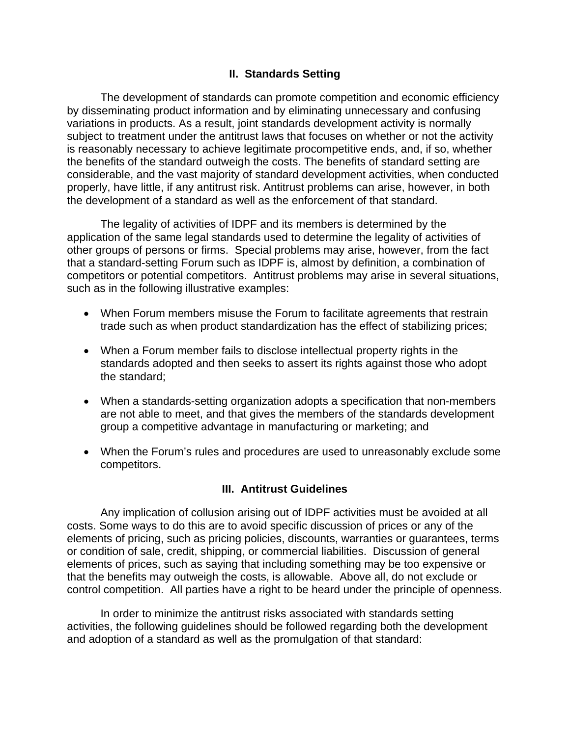# **II. Standards Setting**

The development of standards can promote competition and economic efficiency by disseminating product information and by eliminating unnecessary and confusing variations in products. As a result, joint standards development activity is normally subject to treatment under the antitrust laws that focuses on whether or not the activity is reasonably necessary to achieve legitimate procompetitive ends, and, if so, whether the benefits of the standard outweigh the costs. The benefits of standard setting are considerable, and the vast majority of standard development activities, when conducted properly, have little, if any antitrust risk. Antitrust problems can arise, however, in both the development of a standard as well as the enforcement of that standard.

The legality of activities of IDPF and its members is determined by the application of the same legal standards used to determine the legality of activities of other groups of persons or firms. Special problems may arise, however, from the fact that a standard-setting Forum such as IDPF is, almost by definition, a combination of competitors or potential competitors. Antitrust problems may arise in several situations, such as in the following illustrative examples:

- When Forum members misuse the Forum to facilitate agreements that restrain trade such as when product standardization has the effect of stabilizing prices;
- When a Forum member fails to disclose intellectual property rights in the standards adopted and then seeks to assert its rights against those who adopt the standard;
- When a standards-setting organization adopts a specification that non-members are not able to meet, and that gives the members of the standards development group a competitive advantage in manufacturing or marketing; and
- When the Forum's rules and procedures are used to unreasonably exclude some competitors.

## **III. Antitrust Guidelines**

 Any implication of collusion arising out of IDPF activities must be avoided at all costs. Some ways to do this are to avoid specific discussion of prices or any of the elements of pricing, such as pricing policies, discounts, warranties or guarantees, terms or condition of sale, credit, shipping, or commercial liabilities. Discussion of general elements of prices, such as saying that including something may be too expensive or that the benefits may outweigh the costs, is allowable. Above all, do not exclude or control competition. All parties have a right to be heard under the principle of openness.

In order to minimize the antitrust risks associated with standards setting activities, the following guidelines should be followed regarding both the development and adoption of a standard as well as the promulgation of that standard: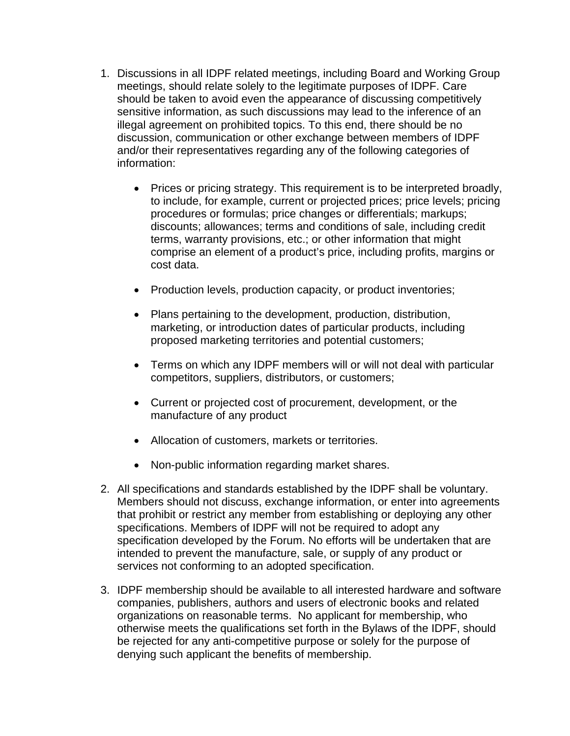- 1. Discussions in all IDPF related meetings, including Board and Working Group meetings, should relate solely to the legitimate purposes of IDPF. Care should be taken to avoid even the appearance of discussing competitively sensitive information, as such discussions may lead to the inference of an illegal agreement on prohibited topics. To this end, there should be no discussion, communication or other exchange between members of IDPF and/or their representatives regarding any of the following categories of information:
	- Prices or pricing strategy. This requirement is to be interpreted broadly, to include, for example, current or projected prices; price levels; pricing procedures or formulas; price changes or differentials; markups; discounts; allowances; terms and conditions of sale, including credit terms, warranty provisions, etc.; or other information that might comprise an element of a product's price, including profits, margins or cost data.
	- Production levels, production capacity, or product inventories;
	- Plans pertaining to the development, production, distribution, marketing, or introduction dates of particular products, including proposed marketing territories and potential customers;
	- Terms on which any IDPF members will or will not deal with particular competitors, suppliers, distributors, or customers;
	- Current or projected cost of procurement, development, or the manufacture of any product
	- Allocation of customers, markets or territories.
	- Non-public information regarding market shares.
- 2. All specifications and standards established by the IDPF shall be voluntary. Members should not discuss, exchange information, or enter into agreements that prohibit or restrict any member from establishing or deploying any other specifications. Members of IDPF will not be required to adopt any specification developed by the Forum. No efforts will be undertaken that are intended to prevent the manufacture, sale, or supply of any product or services not conforming to an adopted specification.
- 3. IDPF membership should be available to all interested hardware and software companies, publishers, authors and users of electronic books and related organizations on reasonable terms. No applicant for membership, who otherwise meets the qualifications set forth in the Bylaws of the IDPF, should be rejected for any anti-competitive purpose or solely for the purpose of denying such applicant the benefits of membership.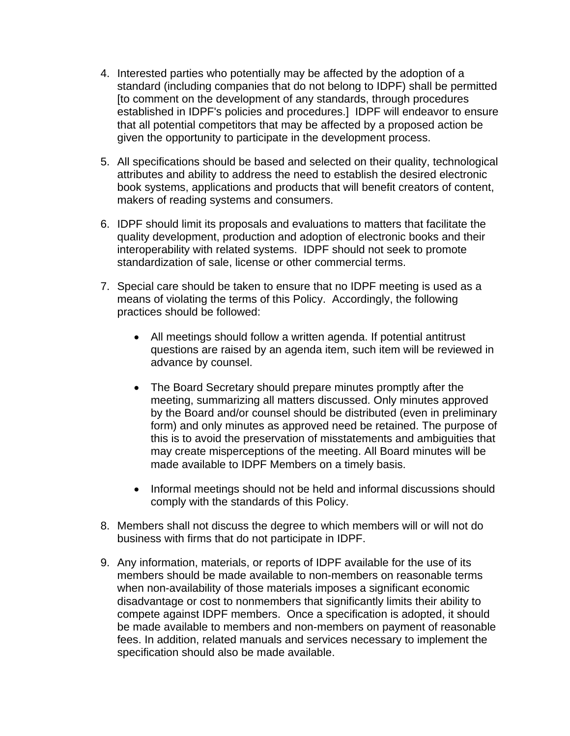- 4. Interested parties who potentially may be affected by the adoption of a standard (including companies that do not belong to IDPF) shall be permitted [to comment on the development of any standards, through procedures established in IDPF's policies and procedures.] IDPF will endeavor to ensure that all potential competitors that may be affected by a proposed action be given the opportunity to participate in the development process.
- 5. All specifications should be based and selected on their quality, technological attributes and ability to address the need to establish the desired electronic book systems, applications and products that will benefit creators of content, makers of reading systems and consumers.
- 6. IDPF should limit its proposals and evaluations to matters that facilitate the quality development, production and adoption of electronic books and their interoperability with related systems. IDPF should not seek to promote standardization of sale, license or other commercial terms.
- 7. Special care should be taken to ensure that no IDPF meeting is used as a means of violating the terms of this Policy. Accordingly, the following practices should be followed:
	- All meetings should follow a written agenda. If potential antitrust questions are raised by an agenda item, such item will be reviewed in advance by counsel.
	- The Board Secretary should prepare minutes promptly after the meeting, summarizing all matters discussed. Only minutes approved by the Board and/or counsel should be distributed (even in preliminary form) and only minutes as approved need be retained. The purpose of this is to avoid the preservation of misstatements and ambiguities that may create misperceptions of the meeting. All Board minutes will be made available to IDPF Members on a timely basis.
	- Informal meetings should not be held and informal discussions should comply with the standards of this Policy.
- 8. Members shall not discuss the degree to which members will or will not do business with firms that do not participate in IDPF.
- 9. Any information, materials, or reports of IDPF available for the use of its members should be made available to non-members on reasonable terms when non-availability of those materials imposes a significant economic disadvantage or cost to nonmembers that significantly limits their ability to compete against IDPF members. Once a specification is adopted, it should be made available to members and non-members on payment of reasonable fees. In addition, related manuals and services necessary to implement the specification should also be made available.